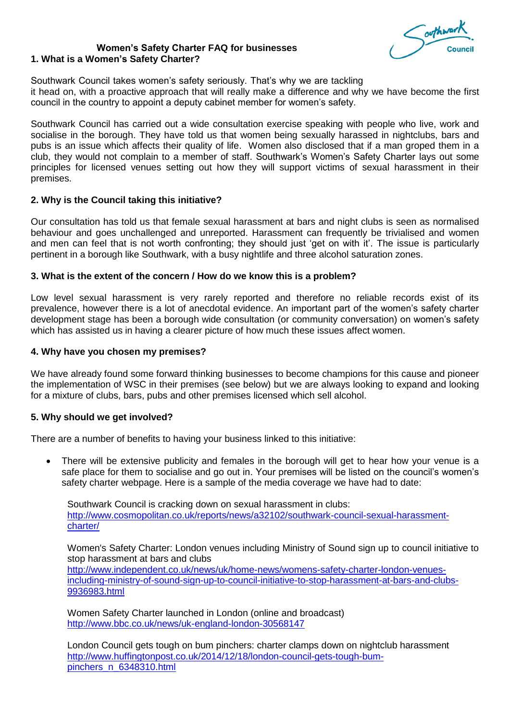Southwar

#### **Women's Safety Charter FAQ for businesses 1. What is a Women's Safety Charter?**

Southwark Council takes women's safety seriously. That's why we are tackling it head on, with a proactive approach that will really make a difference and why we have become the first council in the country to appoint a deputy cabinet member for women's safety.

Southwark Council has carried out a wide consultation exercise speaking with people who live, work and socialise in the borough. They have told us that women being sexually harassed in nightclubs, bars and pubs is an issue which affects their quality of life. Women also disclosed that if a man groped them in a club, they would not complain to a member of staff. Southwark's Women's Safety Charter lays out some principles for licensed venues setting out how they will support victims of sexual harassment in their premises.

## **2. Why is the Council taking this initiative?**

Our consultation has told us that female sexual harassment at bars and night clubs is seen as normalised behaviour and goes unchallenged and unreported. Harassment can frequently be trivialised and women and men can feel that is not worth confronting; they should just 'get on with it'. The issue is particularly pertinent in a borough like Southwark, with a busy nightlife and three alcohol saturation zones.

#### **3. What is the extent of the concern / How do we know this is a problem?**

Low level sexual harassment is very rarely reported and therefore no reliable records exist of its prevalence, however there is a lot of anecdotal evidence. An important part of the women's safety charter development stage has been a borough wide consultation (or community conversation) on women's safety which has assisted us in having a clearer picture of how much these issues affect women.

#### **4. Why have you chosen my premises?**

We have already found some forward thinking businesses to become champions for this cause and pioneer the implementation of WSC in their premises (see below) but we are always looking to expand and looking for a mixture of clubs, bars, pubs and other premises licensed which sell alcohol.

## **5. Why should we get involved?**

There are a number of benefits to having your business linked to this initiative:

 There will be extensive publicity and females in the borough will get to hear how your venue is a safe place for them to socialise and go out in. Your premises will be listed on the council's women's safety charter webpage. Here is a sample of the media coverage we have had to date:

Southwark Council is cracking down on sexual harassment in clubs: [http://www.cosmopolitan.co.uk/reports/news/a32102/southwark-council-sexual-harassment](http://www.cosmopolitan.co.uk/reports/news/a32102/southwark-council-sexual-harassment-charter/)[charter/](http://www.cosmopolitan.co.uk/reports/news/a32102/southwark-council-sexual-harassment-charter/)

Women's Safety Charter: London venues including Ministry of Sound sign up to council initiative to stop harassment at bars and clubs [http://www.independent.co.uk/news/uk/home-news/womens-safety-charter-london-venues](http://www.independent.co.uk/news/uk/home-news/womens-safety-charter-london-venues-including-ministry-of-sound-sign-up-to-council-initiative-to-stop-harassment-at-bars-and-clubs-9936983.html)[including-ministry-of-sound-sign-up-to-council-initiative-to-stop-harassment-at-bars-and-clubs-](http://www.independent.co.uk/news/uk/home-news/womens-safety-charter-london-venues-including-ministry-of-sound-sign-up-to-council-initiative-to-stop-harassment-at-bars-and-clubs-9936983.html)[9936983.html](http://www.independent.co.uk/news/uk/home-news/womens-safety-charter-london-venues-including-ministry-of-sound-sign-up-to-council-initiative-to-stop-harassment-at-bars-and-clubs-9936983.html)

Women Safety Charter launched in London (online and broadcast) <http://www.bbc.co.uk/news/uk-england-london-30568147>

London Council gets tough on bum pinchers: charter clamps down on nightclub harassment [http://www.huffingtonpost.co.uk/2014/12/18/london-council-gets-tough-bum](http://www.huffingtonpost.co.uk/2014/12/18/london-council-gets-tough-bum-pinchers_n_6348310.html)[pinchers\\_n\\_6348310.html](http://www.huffingtonpost.co.uk/2014/12/18/london-council-gets-tough-bum-pinchers_n_6348310.html)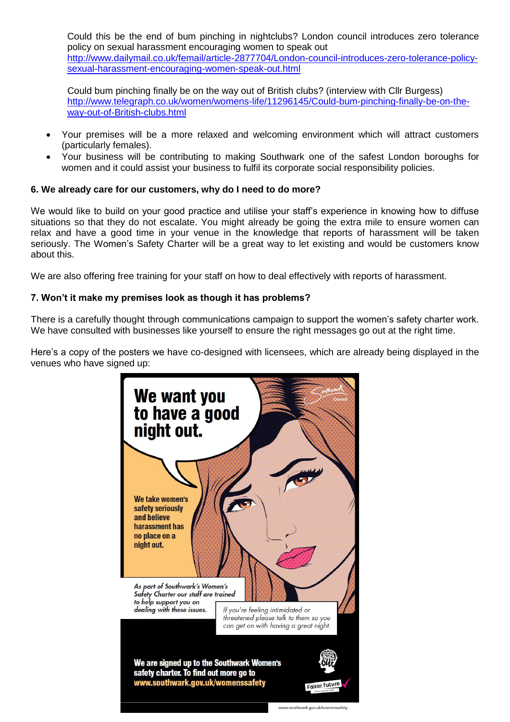Could this be the end of bum pinching in nightclubs? London council introduces zero tolerance policy on sexual harassment encouraging women to speak out [http://www.dailymail.co.uk/femail/article-2877704/London-council-introduces-zero-tolerance-policy](http://www.dailymail.co.uk/femail/article-2877704/London-council-introduces-zero-tolerance-policy-sexual-harassment-encouraging-women-speak-out.html)[sexual-harassment-encouraging-women-speak-out.html](http://www.dailymail.co.uk/femail/article-2877704/London-council-introduces-zero-tolerance-policy-sexual-harassment-encouraging-women-speak-out.html)

Could bum pinching finally be on the way out of British clubs? (interview with Cllr Burgess) [http://www.telegraph.co.uk/women/womens-life/11296145/Could-bum-pinching-finally-be-on-the](http://www.telegraph.co.uk/women/womens-life/11296145/Could-bum-pinching-finally-be-on-the-way-out-of-British-clubs.html)[way-out-of-British-clubs.html](http://www.telegraph.co.uk/women/womens-life/11296145/Could-bum-pinching-finally-be-on-the-way-out-of-British-clubs.html)

- Your premises will be a more relaxed and welcoming environment which will attract customers (particularly females).
- Your business will be contributing to making Southwark one of the safest London boroughs for women and it could assist your business to fulfil its corporate social responsibility policies.

# **6. We already care for our customers, why do I need to do more?**

We would like to build on your good practice and utilise your staff's experience in knowing how to diffuse situations so that they do not escalate. You might already be going the extra mile to ensure women can relax and have a good time in your venue in the knowledge that reports of harassment will be taken seriously. The Women's Safety Charter will be a great way to let existing and would be customers know about this.

We are also offering free training for your staff on how to deal effectively with reports of harassment.

# **7. Won't it make my premises look as though it has problems?**

There is a carefully thought through communications campaign to support the women's safety charter work. We have consulted with businesses like yourself to ensure the right messages go out at the right time.

Here's a copy of the posters we have co-designed with licensees, which are already being displayed in the venues who have signed up:

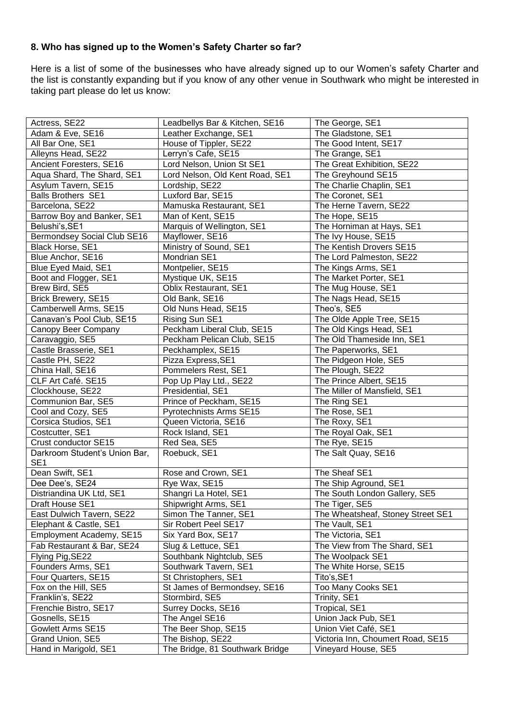# **8. Who has signed up to the Women's Safety Charter so far?**

Here is a list of some of the businesses who have already signed up to our Women's safety Charter and the list is constantly expanding but if you know of any other venue in Southwark who might be interested in taking part please do let us know:

| Actress, SE22                 | Leadbellys Bar & Kitchen, SE16  | The George, SE1                   |
|-------------------------------|---------------------------------|-----------------------------------|
| Adam & Eve, SE16              | Leather Exchange, SE1           | The Gladstone, SE1                |
| All Bar One, SE1              | House of Tippler, SE22          | The Good Intent, SE17             |
| Alleyns Head, SE22            | Lerryn's Cafe, SE15             | The Grange, SE1                   |
| Ancient Foresters, SE16       | Lord Nelson, Union St SE1       | The Great Exhibition, SE22        |
|                               |                                 |                                   |
| Aqua Shard, The Shard, SE1    | Lord Nelson, Old Kent Road, SE1 | The Greyhound SE15                |
| Asylum Tavern, SE15           | Lordship, SE22                  | The Charlie Chaplin, SE1          |
| <b>Balls Brothers SE1</b>     | Luxford Bar, SE15               | The Coronet, SE1                  |
| Barcelona, SE22               | Mamuska Restaurant, SE1         | The Herne Tavern, SE22            |
| Barrow Boy and Banker, SE1    | Man of Kent, SE15               | The Hope, SE15                    |
| Belushi's, SE1                | Marquis of Wellington, SE1      | The Horniman at Hays, SE1         |
| Bermondsey Social Club SE16   | Mayflower, SE16                 | The Ivy House, SE15               |
| Black Horse, SE1              | Ministry of Sound, SE1          | The Kentish Drovers SE15          |
| Blue Anchor, SE16             | Mondrian SE1                    | The Lord Palmeston, SE22          |
| Blue Eyed Maid, SE1           | Montpelier, SE15                | The Kings Arms, SE1               |
| Boot and Flogger, SE1         | Mystique UK, SE15               | The Market Porter, SE1            |
| Brew Bird, SE5                | <b>Oblix Restaurant, SE1</b>    | The Mug House, SE1                |
| <b>Brick Brewery, SE15</b>    | Old Bank, SE16                  | The Nags Head, SE15               |
| Camberwell Arms, SE15         | Old Nuns Head, SE15             | Theo's, SE5                       |
| Canavan's Pool Club, SE15     | Rising Sun SE1                  | The Olde Apple Tree, SE15         |
| Canopy Beer Company           | Peckham Liberal Club, SE15      | The Old Kings Head, SE1           |
| Caravaggio, SE5               | Peckham Pelican Club, SE15      | The Old Thameside Inn, SE1        |
| Castle Brasserie, SE1         | Peckhamplex, SE15               | The Paperworks, SE1               |
| Castle PH, SE22               | Pizza Express, SE1              | The Pidgeon Hole, SE5             |
| China Hall, SE16              | Pommelers Rest, SE1             | The Plough, SE22                  |
| CLF Art Café. SE15            | Pop Up Play Ltd., SE22          | The Prince Albert, SE15           |
| Clockhouse, SE22              | Presidential, SE1               | The Miller of Mansfield, SE1      |
| Communion Bar, SE5            | Prince of Peckham, SE15         | The Ring SE1                      |
| Cool and Cozy, SE5            | Pyrotechnists Arms SE15         | The Rose, SE1                     |
| Corsica Studios, SE1          | Queen Victoria, SE16            | The Roxy, SE1                     |
| Costcutter, SE1               | Rock Island, SE1                | The Royal Oak, SE1                |
| Crust conductor SE15          | Red Sea, SE5                    | The Rye, SE15                     |
| Darkroom Student's Union Bar, | Roebuck, SE1                    | The Salt Quay, SE16               |
| SE <sub>1</sub>               |                                 |                                   |
| Dean Swift, SE1               | Rose and Crown, SE1             | The Sheaf SE1                     |
| Dee Dee's, SE24               | Rye Wax, SE15                   | The Ship Aground, SE1             |
| Distriandina UK Ltd, SE1      | Shangri La Hotel, SE1           | The South London Gallery, SE5     |
| Draft House SE1               | Shipwright Arms, SE1            | The Tiger, SE5                    |
| East Dulwich Tavern, SE22     | Simon The Tanner, SE1           | The Wheatsheaf, Stoney Street SE1 |
| Elephant & Castle, SE1        | Sir Robert Peel SE17            | The Vault, SE1                    |
| Employment Academy, SE15      | Six Yard Box, SE17              | The Victoria, SE1                 |
| Fab Restaurant & Bar, SE24    | Slug & Lettuce, SE1             | The View from The Shard, SE1      |
| Flying Pig, SE22              | Southbank Nightclub, SE5        | The Woolpack SE1                  |
| Founders Arms, SE1            | Southwark Tavern, SE1           | The White Horse, SE15             |
| Four Quarters, SE15           | St Christophers, SE1            | Tito's, SE1                       |
| Fox on the Hill, SE5          | St James of Bermondsey, SE16    | Too Many Cooks SE1                |
| Franklin's, SE22              | Stormbird, SE5                  | Trinity, SE1                      |
| Frenchie Bistro, SE17         | Surrey Docks, SE16              | Tropical, SE1                     |
| Gosnells, SE15                | The Angel SE16                  | Union Jack Pub, SE1               |
| Gowlett Arms SE15             | The Beer Shop, SE15             | Union Viet Café, SE1              |
| Grand Union, SE5              | The Bishop, SE22                | Victoria Inn, Choumert Road, SE15 |
|                               |                                 | Vineyard House, SE5               |
| Hand in Marigold, SE1         | The Bridge, 81 Southwark Bridge |                                   |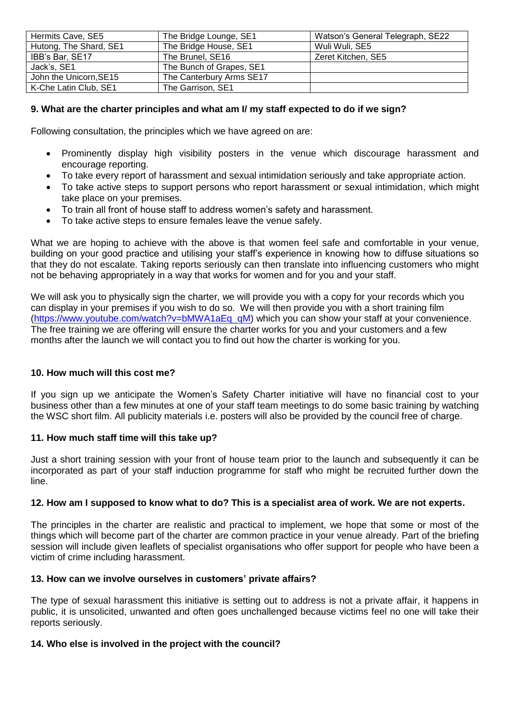| Hermits Cave, SE5      | The Bridge Lounge, SE1   | Watson's General Telegraph, SE22 |
|------------------------|--------------------------|----------------------------------|
| Hutong, The Shard, SE1 | The Bridge House, SE1    | Wuli Wuli, SE5                   |
| IBB's Bar, SE17        | The Brunel, SE16         | Zeret Kitchen, SE5               |
| Jack's, SE1            | The Bunch of Grapes, SE1 |                                  |
| John the Unicorn, SE15 | The Canterbury Arms SE17 |                                  |
| K-Che Latin Club, SE1  | The Garrison, SE1        |                                  |

# **9. What are the charter principles and what am I/ my staff expected to do if we sign?**

Following consultation, the principles which we have agreed on are:

- Prominently display high visibility posters in the venue which discourage harassment and encourage reporting.
- To take every report of harassment and sexual intimidation seriously and take appropriate action.
- To take active steps to support persons who report harassment or sexual intimidation, which might take place on your premises.
- To train all front of house staff to address women's safety and harassment.
- To take active steps to ensure females leave the venue safely.

What we are hoping to achieve with the above is that women feel safe and comfortable in your venue, building on your good practice and utilising your staff's experience in knowing how to diffuse situations so that they do not escalate. Taking reports seriously can then translate into influencing customers who might not be behaving appropriately in a way that works for women and for you and your staff.

We will ask you to physically sign the charter, we will provide you with a copy for your records which you can display in your premises if you wish to do so. We will then provide you with a short training film [\(https://www.youtube.com/watch?v=bMWA1aEq\\_qM\)](https://www.youtube.com/watch?v=bMWA1aEq_qM) which you can show your staff at your convenience. The free training we are offering will ensure the charter works for you and your customers and a few months after the launch we will contact you to find out how the charter is working for you.

## **10. How much will this cost me?**

If you sign up we anticipate the Women's Safety Charter initiative will have no financial cost to your business other than a few minutes at one of your staff team meetings to do some basic training by watching the WSC short film. All publicity materials i.e. posters will also be provided by the council free of charge.

## **11. How much staff time will this take up?**

Just a short training session with your front of house team prior to the launch and subsequently it can be incorporated as part of your staff induction programme for staff who might be recruited further down the line.

## **12. How am I supposed to know what to do? This is a specialist area of work. We are not experts.**

The principles in the charter are realistic and practical to implement, we hope that some or most of the things which will become part of the charter are common practice in your venue already. Part of the briefing session will include given leaflets of specialist organisations who offer support for people who have been a victim of crime including harassment.

## **13. How can we involve ourselves in customers' private affairs?**

The type of sexual harassment this initiative is setting out to address is not a private affair, it happens in public, it is unsolicited, unwanted and often goes unchallenged because victims feel no one will take their reports seriously.

## **14. Who else is involved in the project with the council?**